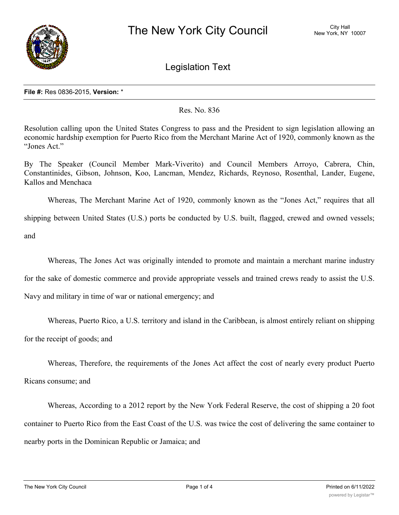

Legislation Text

## **File #:** Res 0836-2015, **Version:** \*

## Res. No. 836

Resolution calling upon the United States Congress to pass and the President to sign legislation allowing an economic hardship exemption for Puerto Rico from the Merchant Marine Act of 1920, commonly known as the "Jones Act."

By The Speaker (Council Member Mark-Viverito) and Council Members Arroyo, Cabrera, Chin, Constantinides, Gibson, Johnson, Koo, Lancman, Mendez, Richards, Reynoso, Rosenthal, Lander, Eugene, Kallos and Menchaca

Whereas, The Merchant Marine Act of 1920, commonly known as the "Jones Act," requires that all shipping between United States (U.S.) ports be conducted by U.S. built, flagged, crewed and owned vessels; and

Whereas, The Jones Act was originally intended to promote and maintain a merchant marine industry

for the sake of domestic commerce and provide appropriate vessels and trained crews ready to assist the U.S.

Navy and military in time of war or national emergency; and

Whereas, Puerto Rico, a U.S. territory and island in the Caribbean, is almost entirely reliant on shipping for the receipt of goods; and

Whereas, Therefore, the requirements of the Jones Act affect the cost of nearly every product Puerto Ricans consume; and

Whereas, According to a 2012 report by the New York Federal Reserve, the cost of shipping a 20 foot container to Puerto Rico from the East Coast of the U.S. was twice the cost of delivering the same container to nearby ports in the Dominican Republic or Jamaica; and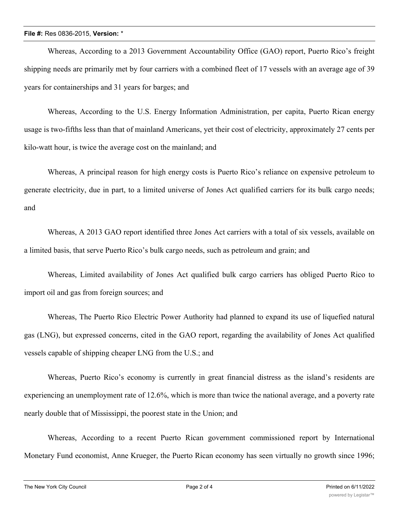## **File #:** Res 0836-2015, **Version:** \*

Whereas, According to a 2013 Government Accountability Office (GAO) report, Puerto Rico's freight shipping needs are primarily met by four carriers with a combined fleet of 17 vessels with an average age of 39 years for containerships and 31 years for barges; and

Whereas, According to the U.S. Energy Information Administration, per capita, Puerto Rican energy usage is two-fifths less than that of mainland Americans, yet their cost of electricity, approximately 27 cents per kilo-watt hour, is twice the average cost on the mainland; and

Whereas, A principal reason for high energy costs is Puerto Rico's reliance on expensive petroleum to generate electricity, due in part, to a limited universe of Jones Act qualified carriers for its bulk cargo needs; and

Whereas, A 2013 GAO report identified three Jones Act carriers with a total of six vessels, available on a limited basis, that serve Puerto Rico's bulk cargo needs, such as petroleum and grain; and

Whereas, Limited availability of Jones Act qualified bulk cargo carriers has obliged Puerto Rico to import oil and gas from foreign sources; and

Whereas, The Puerto Rico Electric Power Authority had planned to expand its use of liquefied natural gas (LNG), but expressed concerns, cited in the GAO report, regarding the availability of Jones Act qualified vessels capable of shipping cheaper LNG from the U.S.; and

Whereas, Puerto Rico's economy is currently in great financial distress as the island's residents are experiencing an unemployment rate of 12.6%, which is more than twice the national average, and a poverty rate nearly double that of Mississippi, the poorest state in the Union; and

Whereas, According to a recent Puerto Rican government commissioned report by International Monetary Fund economist, Anne Krueger, the Puerto Rican economy has seen virtually no growth since 1996;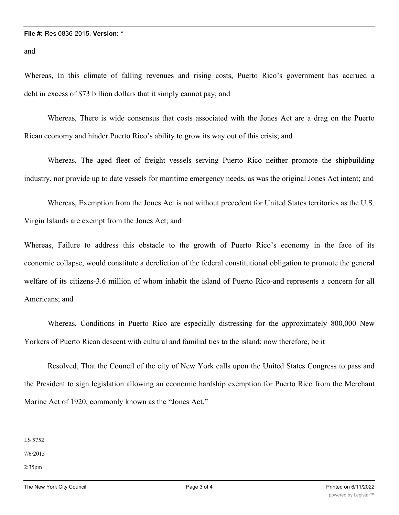and

Whereas, In this climate of falling revenues and rising costs, Puerto Rico's government has accrued a debt in excess of \$73 billion dollars that it simply cannot pay; and

Whereas, There is wide consensus that costs associated with the Jones Act are a drag on the Puerto Rican economy and hinder Puerto Rico's ability to grow its way out of this crisis; and

Whereas, The aged fleet of freight vessels serving Puerto Rico neither promote the shipbuilding industry, nor provide up to date vessels for maritime emergency needs, as was the original Jones Act intent; and

Whereas, Exemption from the Jones Act is not without precedent for United States territories as the U.S. Virgin Islands are exempt from the Jones Act; and

Whereas, Failure to address this obstacle to the growth of Puerto Rico's economy in the face of its economic collapse, would constitute a dereliction of the federal constitutional obligation to promote the general welfare of its citizens-3.6 million of whom inhabit the island of Puerto Rico-and represents a concern for all Americans; and

Whereas, Conditions in Puerto Rico are especially distressing for the approximately 800,000 New Yorkers of Puerto Rican descent with cultural and familial ties to the island; now therefore, be it

Resolved, That the Council of the city of New York calls upon the United States Congress to pass and the President to sign legislation allowing an economic hardship exemption for Puerto Rico from the Merchant Marine Act of 1920, commonly known as the "Jones Act."

LS 5752

7/6/2015

2:35pm